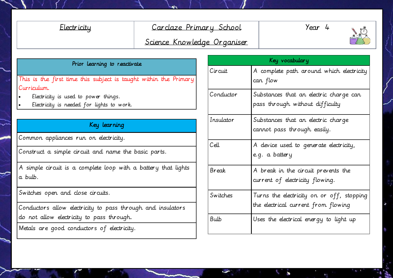## Electricity Carclaze Primary School

Year 4



# Science Knowledge Organiser

#### Prior learning to reactivate

This is the first time this subject is taught within the Primary Curriculum.

- Electricity is used to power things.
- Electricity is needed for lights to work.

### Key learning

Common appliances run on electricity.

Construct a simple circuit and name the basic parts.

A simple circuit is a complete loop with a battery that lights a bulb.

Switches open and close circuits.

Conductors allow electricity to pass through and insulators do not allow electricity to pass through.

Metals are good conductors of electricity.

| Key vocabulary |                                                                                  |  |  |  |
|----------------|----------------------------------------------------------------------------------|--|--|--|
| Circuit        | A complete path around which electricity<br>can flow                             |  |  |  |
| Conductor      | Substances that an electric charge can<br>pass through without difficulty        |  |  |  |
| Insulator      | Substances that an electric charge<br>cannot pass through easily.                |  |  |  |
| Cell           | A device used to generate electricity,<br>e.g. a battery                         |  |  |  |
| Break          | A break in the circuit prevents the<br>current of electricity flowing.           |  |  |  |
| Switches       | Turns the electricity on or off, stopping<br>the electrical current from flowing |  |  |  |
| Bulb           | Uses the electrical energy to light up                                           |  |  |  |